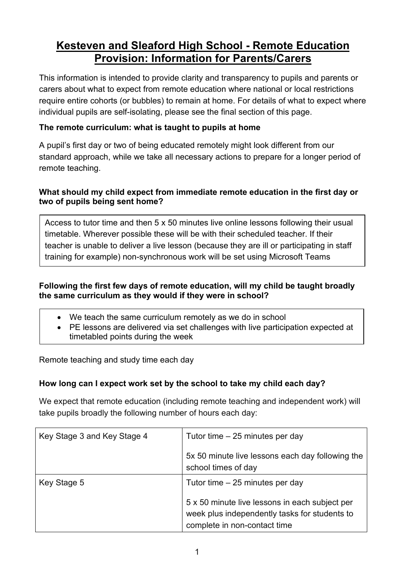# **Kesteven and Sleaford High School - Remote Education Provision: Information for Parents/Carers**

This information is intended to provide clarity and transparency to pupils and parents or carers about what to expect from remote education where national or local restrictions require entire cohorts (or bubbles) to remain at home. For details of what to expect where individual pupils are self-isolating, please see the final section of this page.

# **The remote curriculum: what is taught to pupils at home**

A pupil's first day or two of being educated remotely might look different from our standard approach, while we take all necessary actions to prepare for a longer period of remote teaching.

#### **What should my child expect from immediate remote education in the first day or two of pupils being sent home?**

Access to tutor time and then 5 x 50 minutes live online lessons following their usual timetable. Wherever possible these will be with their scheduled teacher. If their teacher is unable to deliver a live lesson (because they are ill or participating in staff training for example) non-synchronous work will be set using Microsoft Teams

### **Following the first few days of remote education, will my child be taught broadly the same curriculum as they would if they were in school?**

- We teach the same curriculum remotely as we do in school
- PE lessons are delivered via set challenges with live participation expected at timetabled points during the week

Remote teaching and study time each day

# **How long can I expect work set by the school to take my child each day?**

We expect that remote education (including remote teaching and independent work) will take pupils broadly the following number of hours each day:

| Key Stage 3 and Key Stage 4 | Tutor time $-25$ minutes per day                                                                                                |
|-----------------------------|---------------------------------------------------------------------------------------------------------------------------------|
|                             | 5x 50 minute live lessons each day following the<br>school times of day                                                         |
| Key Stage 5                 | Tutor time $-25$ minutes per day                                                                                                |
|                             | 5 x 50 minute live lessons in each subject per<br>week plus independently tasks for students to<br>complete in non-contact time |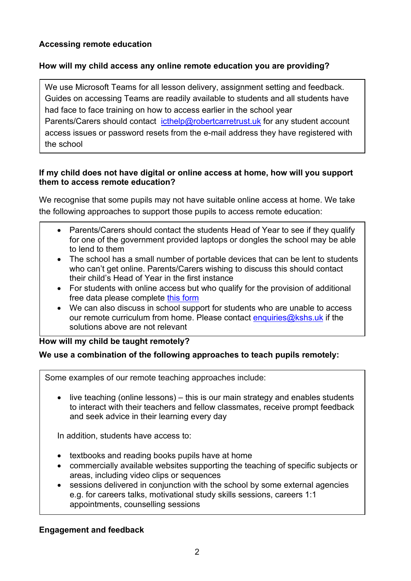#### **Accessing remote education**

#### **How will my child access any online remote education you are providing?**

We use Microsoft Teams for all lesson delivery, assignment setting and feedback. Guides on accessing Teams are readily available to students and all students have had face to face training on how to access earlier in the school year Parents/Carers should contact [icthelp@robertcarretrust.uk](mailto:icthelp@robertcarretrust.uk) for any student account access issues or password resets from the e-mail address they have registered with the school

#### **If my child does not have digital or online access at home, how will you support them to access remote education?**

We recognise that some pupils may not have suitable online access at home. We take the following approaches to support those pupils to access remote education:

- Parents/Carers should contact the students Head of Year to see if they qualify for one of the government provided laptops or dongles the school may be able to lend to them
- The school has a small number of portable devices that can be lent to students who can't get online. Parents/Carers wishing to discuss this should contact their child's Head of Year in the first instance
- For students with online access but who qualify for the provision of additional free data please complete [this form](https://forms.office.com/Pages/ResponsePage.aspx?id=4I_ewOP1L06Lz_HFSzjyi5N1ThQ1JRlNu21SUUb14o1UNjE0SEw4WjNSVVU0M0tUV1VDTUc5VFBKTyQlQCN0PWcu)
- We can also discuss in school support for students who are unable to access our remote curriculum from home. Please contact enquiries  $@$  kshs.uk if the solutions above are not relevant

#### **How will my child be taught remotely?**

#### **We use a combination of the following approaches to teach pupils remotely:**

Some examples of our remote teaching approaches include:

• live teaching (online lessons) – this is our main strategy and enables students to interact with their teachers and fellow classmates, receive prompt feedback and seek advice in their learning every day

In addition, students have access to:

- textbooks and reading books pupils have at home
- commercially available websites supporting the teaching of specific subjects or areas, including video clips or sequences
- sessions delivered in conjunction with the school by some external agencies e.g. for careers talks, motivational study skills sessions, careers 1:1 appointments, counselling sessions

#### **Engagement and feedback**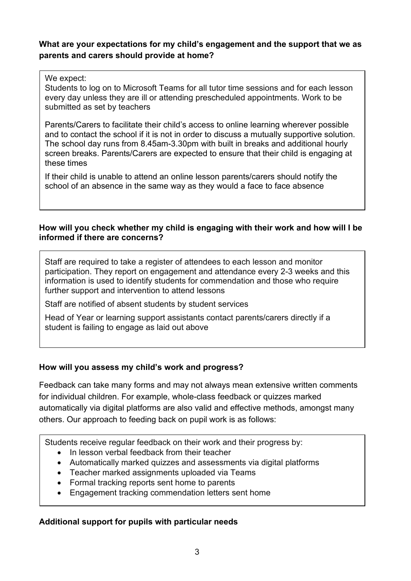#### **What are your expectations for my child's engagement and the support that we as parents and carers should provide at home?**

#### We expect:

Students to log on to Microsoft Teams for all tutor time sessions and for each lesson every day unless they are ill or attending prescheduled appointments. Work to be submitted as set by teachers

Parents/Carers to facilitate their child's access to online learning wherever possible and to contact the school if it is not in order to discuss a mutually supportive solution. The school day runs from 8.45am-3.30pm with built in breaks and additional hourly screen breaks. Parents/Carers are expected to ensure that their child is engaging at these times

If their child is unable to attend an online lesson parents/carers should notify the school of an absence in the same way as they would a face to face absence

#### **How will you check whether my child is engaging with their work and how will I be informed if there are concerns?**

Staff are required to take a register of attendees to each lesson and monitor participation. They report on engagement and attendance every 2-3 weeks and this information is used to identify students for commendation and those who require further support and intervention to attend lessons

Staff are notified of absent students by student services

Head of Year or learning support assistants contact parents/carers directly if a student is failing to engage as laid out above

#### **How will you assess my child's work and progress?**

Feedback can take many forms and may not always mean extensive written comments for individual children. For example, whole-class feedback or quizzes marked automatically via digital platforms are also valid and effective methods, amongst many others. Our approach to feeding back on pupil work is as follows:

Students receive regular feedback on their work and their progress by:

- In lesson verbal feedback from their teacher
- Automatically marked quizzes and assessments via digital platforms
- Teacher marked assignments uploaded via Teams
- Formal tracking reports sent home to parents
- Engagement tracking commendation letters sent home

#### **Additional support for pupils with particular needs**